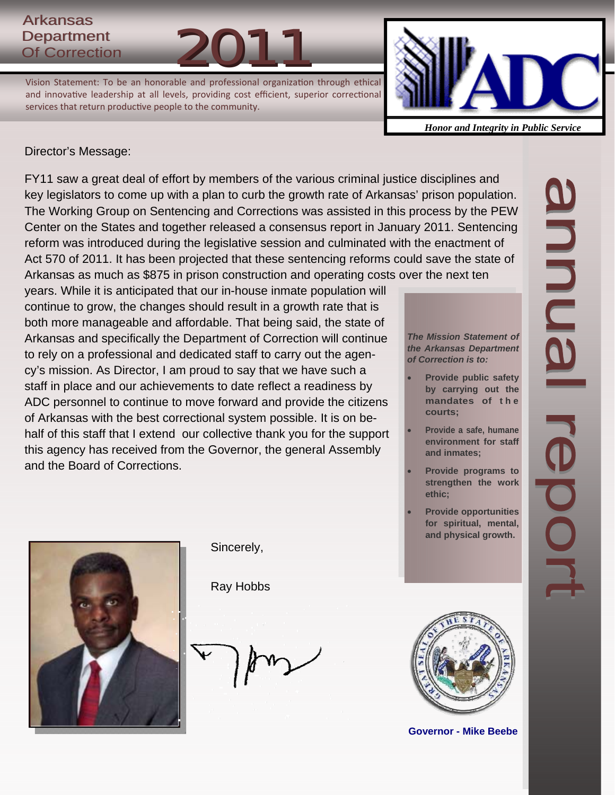# **Arkansas** Department Arkansas<br>Department<br>Of Correction 2011

Vision Statement: To be an honorable and professional organization through ethical and innovative leadership at all levels, providing cost efficient, superior correctional services that return productive people to the community.



*Honor and Integrity in Public Service*

# Director's Message:

FY11 saw a great deal of effort by members of the various criminal justice disciplines and key legislators to come up with a plan to curb the growth rate of Arkansas' prison population. The Working Group on Sentencing and Corrections was assisted in this process by the PEW Center on the States and together released a consensus report in January 2011. Sentencing reform was introduced during the legislative session and culminated with the enactment of Act 570 of 2011. It has been projected that these sentencing reforms could save the state of Arkansas as much as \$875 in prison construction and operating costs over the next ten

years. While it is anticipated that our in-house inmate population will continue to grow, the changes should result in a growth rate that is both more manageable and affordable. That being said, the state of Arkansas and specifically the Department of Correction will continue to rely on a professional and dedicated staff to carry out the agency's mission. As Director, I am proud to say that we have such a staff in place and our achievements to date reflect a readiness by ADC personnel to continue to move forward and provide the citizens of Arkansas with the best correctional system possible. It is on behalf of this staff that I extend our collective thank you for the support this agency has received from the Governor, the general Assembly and the Board of Corrections.

*The Mission Statement of the Arkansas Department of Correction is to:* 

- **Provide public safety by carrying out the mandates of t h e courts;**
- **Provide a safe, humane environment for staff and inmates;**
- **Provide programs to strengthen the work ethic;**
- **Provide opportunities for spiritual, mental, and physical growth.**



Sincerely,

Ray Hobbs



**Governor - Mike Beebe** 

annual re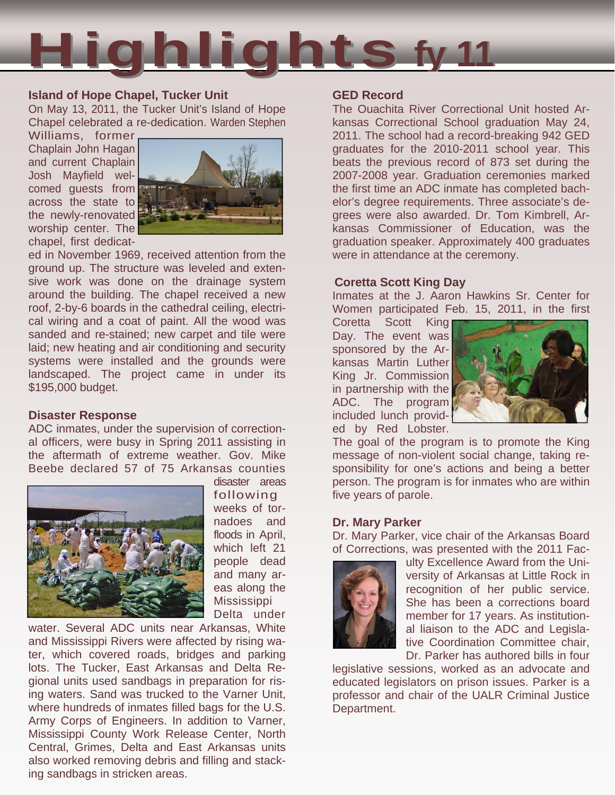

## **Island of Hope Chapel, Tucker Unit**

On May 13, 2011, the Tucker Unit's Island of Hope Chapel celebrated a re-dedication. Warden Stephen

Williams, former Chaplain John Hagan and current Chaplain Josh Mayfield welcomed guests from across the state to the newly-renovated worship center. The chapel, first dedicat-



ed in November 1969, received attention from the ground up. The structure was leveled and extensive work was done on the drainage system around the building. The chapel received a new roof, 2-by-6 boards in the cathedral ceiling, electrical wiring and a coat of paint. All the wood was sanded and re-stained; new carpet and tile were laid; new heating and air conditioning and security systems were installed and the grounds were landscaped. The project came in under its \$195,000 budget.

### **Disaster Response**

ADC inmates, under the supervision of correctional officers, were busy in Spring 2011 assisting in the aftermath of extreme weather. Gov. Mike Beebe declared 57 of 75 Arkansas counties



following weeks of tornadoes and floods in April, which left 21 people dead and many areas along the Mississippi Delta under

disaster areas

water. Several ADC units near Arkansas, White and Mississippi Rivers were affected by rising water, which covered roads, bridges and parking lots. The Tucker, East Arkansas and Delta Regional units used sandbags in preparation for rising waters. Sand was trucked to the Varner Unit, where hundreds of inmates filled bags for the U.S. Army Corps of Engineers. In addition to Varner, Mississippi County Work Release Center, North Central, Grimes, Delta and East Arkansas units also worked removing debris and filling and stacking sandbags in stricken areas.

# **GED Record**

The Ouachita River Correctional Unit hosted Arkansas Correctional School graduation May 24, 2011. The school had a record-breaking 942 GED graduates for the 2010-2011 school year. This beats the previous record of 873 set during the 2007-2008 year. Graduation ceremonies marked the first time an ADC inmate has completed bachelor's degree requirements. Three associate's degrees were also awarded. Dr. Tom Kimbrell, Arkansas Commissioner of Education, was the graduation speaker. Approximately 400 graduates were in attendance at the ceremony.

## **Coretta Scott King Day**

Inmates at the J. Aaron Hawkins Sr. Center for Women participated Feb. 15, 2011, in the first

Coretta Scott King Day. The event was sponsored by the Arkansas Martin Luther King Jr. Commission in partnership with the ADC. The program included lunch provided by Red Lobster.



The goal of the program is to promote the King message of non-violent social change, taking responsibility for one's actions and being a better person. The program is for inmates who are within five years of parole.

### **Dr. Mary Parker**

Dr. Mary Parker, vice chair of the Arkansas Board of Corrections, was presented with the 2011 Fac-



ulty Excellence Award from the University of Arkansas at Little Rock in recognition of her public service. She has been a corrections board member for 17 years. As institutional liaison to the ADC and Legislative Coordination Committee chair, Dr. Parker has authored bills in four

legislative sessions, worked as an advocate and educated legislators on prison issues. Parker is a professor and chair of the UALR Criminal Justice Department.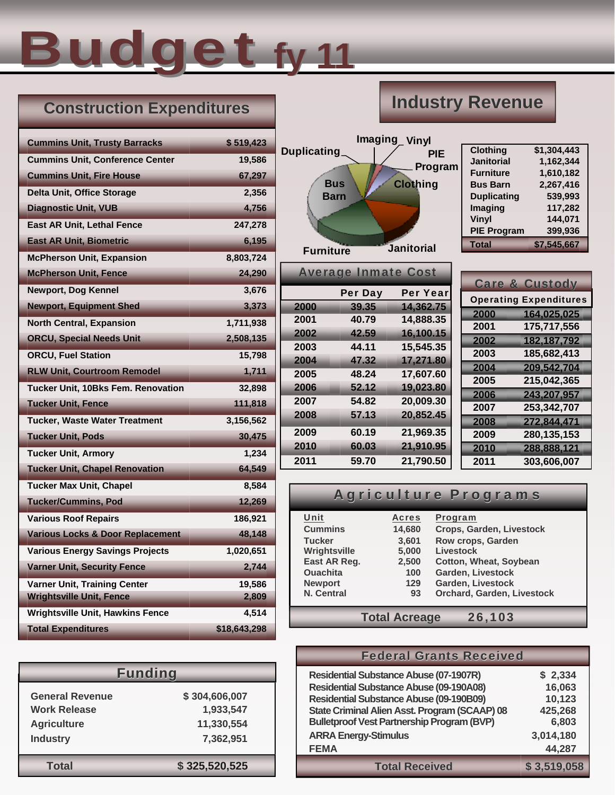# Budget **fy 11**

# **Construction Expenditures**

# **Industry Revenue**

| <b>Cummins Unit, Trusty Barracks</b>        | \$519,423    |
|---------------------------------------------|--------------|
| <b>Cummins Unit, Conference Center</b>      | 19,586       |
| <b>Cummins Unit, Fire House</b>             | 67,297       |
| <b>Delta Unit, Office Storage</b>           | 2,356        |
| <b>Diagnostic Unit, VUB</b>                 | 4,756        |
| East AR Unit, Lethal Fence                  | 247,278      |
| <b>East AR Unit, Biometric</b>              | 6,195        |
| <b>McPherson Unit, Expansion</b>            | 8,803,724    |
| <b>McPherson Unit, Fence</b>                | 24,290       |
| <b>Newport, Dog Kennel</b>                  | 3,676        |
| <b>Newport, Equipment Shed</b>              | 3,373        |
| <b>North Central, Expansion</b>             | 1,711,938    |
| <b>ORCU, Special Needs Unit</b>             | 2,508,135    |
| <b>ORCU, Fuel Station</b>                   | 15,798       |
| <b>RLW Unit, Courtroom Remodel</b>          | 1,711        |
| Tucker Unit, 10Bks Fem. Renovation          | 32,898       |
| <b>Tucker Unit, Fence</b>                   | 111,818      |
| <b>Tucker, Waste Water Treatment</b>        | 3,156,562    |
| <b>Tucker Unit, Pods</b>                    | 30,475       |
| <b>Tucker Unit, Armory</b>                  | 1,234        |
| <b>Tucker Unit, Chapel Renovation</b>       | 64,549       |
| <b>Tucker Max Unit, Chapel</b>              | 8,584        |
| <b>Tucker/Cummins, Pod</b>                  | 12,269       |
| <b>Various Roof Repairs</b>                 | 186,921      |
| <b>Various Locks &amp; Door Replacement</b> | 48,148       |
| <b>Various Energy Savings Projects</b>      | 1,020,651    |
| <b>Varner Unit, Security Fence</b>          | 2,744        |
| <b>Varner Unit, Training Center</b>         | 19,586       |
| <b>Wrightsville Unit, Fence</b>             | 2,809        |
| Wrightsville Unit, Hawkins Fence            | 4,514        |
| <b>Total Expenditures</b>                   | \$18,643,298 |

| <b>Funding</b>         |               |  |  |  |  |  |
|------------------------|---------------|--|--|--|--|--|
| <b>General Revenue</b> | \$304,606,007 |  |  |  |  |  |
| <b>Work Release</b>    | 1,933,547     |  |  |  |  |  |
| <b>Agriculture</b>     | 11,330,554    |  |  |  |  |  |
| <b>Industry</b>        | 7,362,951     |  |  |  |  |  |
| Total                  | \$325,520,525 |  |  |  |  |  |



**2000 39.35 14,362.75 2001 40.79 14,888.35 2002 42.59 16,100.15 2003 44.11 15,545.35 2004 47.32 17,271.80 2005 48.24 17,607.60 2006 52.12 19,023.80 2007 54.82 20,009.30 2008 57.13 20,852.45 2009 60.19 21,969.35 2010 60.03 21,910.95 2011 59.70 21,790.50** 

| <b>Clothing</b>    | \$1,304,443 |
|--------------------|-------------|
| <b>Janitorial</b>  | 1,162,344   |
| <b>Furniture</b>   | 1,610,182   |
| <b>Bus Barn</b>    | 2,267,416   |
| <b>Duplicating</b> | 539,993     |
| Imaging            | 117,282     |
| Vinyl              | 144,071     |
| <b>PIE Program</b> | 399,936     |
| <b>Total</b>       | \$7,545,667 |

|      | <b>Care &amp; Custody</b>     |
|------|-------------------------------|
|      | <b>Operating Expenditures</b> |
| 2000 | 164,025,025                   |
| 2001 | 175,717,556                   |
| 2002 | 182, 187, 792                 |
| 2003 | 185,682,413                   |
| 2004 | 209,542,704                   |
| 2005 | 215,042,365                   |
| 2006 | 243,207,957                   |
| 2007 | 253,342,707                   |
| 2008 | 272,844,471                   |
| 2009 | 280,135,153                   |
| 2010 | 288,888,121                   |
| 2011 | 303,606,007                   |

# Agriculture Programs

| Unit              | <b>Acres</b>         | Program                       |  |  |  |
|-------------------|----------------------|-------------------------------|--|--|--|
| <b>Cummins</b>    | 14,680               | Crops, Garden, Livestock      |  |  |  |
| <b>Tucker</b>     | 3,601                | Row crops, Garden             |  |  |  |
| Wrightsville      | 5,000                | Livestock                     |  |  |  |
| East AR Reg.      | 2,500                | <b>Cotton, Wheat, Soybean</b> |  |  |  |
| <b>Ouachita</b>   | 100                  | Garden, Livestock             |  |  |  |
| <b>Newport</b>    | 129                  | Garden, Livestock             |  |  |  |
| <b>N. Central</b> | 93                   | Orchard, Garden, Livestock    |  |  |  |
|                   |                      |                               |  |  |  |
|                   | <b>Total Acreage</b> | 26,103                        |  |  |  |

|                                                                     |                                                            | <b>Federal Grants Received</b>                                                                                                                                                                                                                          |                                                 |  |
|---------------------------------------------------------------------|------------------------------------------------------------|---------------------------------------------------------------------------------------------------------------------------------------------------------------------------------------------------------------------------------------------------------|-------------------------------------------------|--|
| <b>General Revenue</b><br><b>Work Release</b><br><b>Agriculture</b> | <b>Funding</b><br>\$304,606,007<br>1,933,547<br>11,330,554 | <b>Residential Substance Abuse (07-1907R)</b><br><b>Residential Substance Abuse (09-190A08)</b><br><b>Residential Substance Abuse (09-190B09)</b><br>State Criminal Alien Asst. Program (SCAAP) 08<br><b>Bulletproof Vest Partnership Program (BVP)</b> | \$2,334<br>16,063<br>10,123<br>425,268<br>6,803 |  |
| <b>Industry</b>                                                     | 7,362,951                                                  | <b>ARRA Energy-Stimulus</b><br><b>FEMA</b>                                                                                                                                                                                                              | 3,014,180<br>44,287                             |  |
| <b>Total</b>                                                        | \$325,520,525                                              | <b>Total Received</b>                                                                                                                                                                                                                                   | \$3,519,058                                     |  |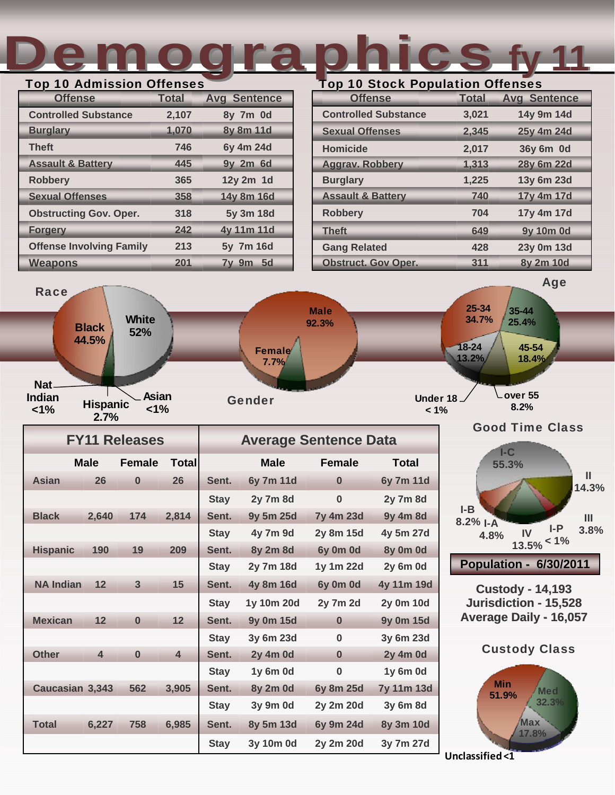# Demographics Top 10 Admission Offenses Top 10 Stock Population Offenses **fy 11**

| <b>I</b> Op TO Admission Onenses<br><b>Offense</b> | <b>Total</b> | <b>Avg Sentence</b> |
|----------------------------------------------------|--------------|---------------------|
| <b>Controlled Substance</b>                        | 2,107        | 8y 7m 0d            |
| <b>Burglary</b>                                    | 1,070        | 8y 8m 11d           |
| <b>Theft</b>                                       | 746          | 6y 4m 24d           |
| <b>Assault &amp; Battery</b>                       | 445          | 9y 2m 6d            |
| <b>Robbery</b>                                     | 365          | 12y 2m 1d           |
| <b>Sexual Offenses</b>                             | 358          | 14y 8m 16d          |
| <b>Obstructing Gov. Oper.</b>                      | 318          | 5y 3m 18d           |
| <b>Forgery</b>                                     | 242          | 4y 11m 11d          |
| <b>Offense Involving Family</b>                    | 213          | 5y 7m 16d           |
| <b>Weapons</b>                                     | 201          | $7y$ 9m<br>$-5d$    |

| <b>Offense</b>               | <b>Total</b> | <b>Avg Sentence</b> |
|------------------------------|--------------|---------------------|
| <b>Controlled Substance</b>  | 3,021        | 14y 9m 14d          |
| <b>Sexual Offenses</b>       | 2,345        | 25y 4m 24d          |
| <b>Homicide</b>              | 2,017        | 36y 6m 0d           |
| <b>Aggrav. Robbery</b>       | 1,313        | 28y 6m 22d          |
| <b>Burglary</b>              | 1,225        | 13y 6m 23d          |
| <b>Assault &amp; Battery</b> | 740          | 17y 4m 17d          |
| <b>Robbery</b>               | 704          | 17y 4m 17d          |
| <b>Theft</b>                 | 649          | 9y 10m 0d           |
| <b>Gang Related</b>          | 428          | 23y 0m 13d          |
| <b>Obstruct. Gov Oper.</b>   | 311          | 8y 2m 10d           |



|                  |                         | <b>FY11 Releases</b> |                         | <b>Average Sentence Data</b> |                 |                 |                   |  |
|------------------|-------------------------|----------------------|-------------------------|------------------------------|-----------------|-----------------|-------------------|--|
|                  | <b>Male</b>             | Female               | Total                   |                              | <b>Male</b>     | <b>Female</b>   | <b>Total</b>      |  |
| <b>Asian</b>     | 26                      | $\bf{0}$             | 26                      | Sent.                        | 6y 7m 11d       | $\bf{0}$        | 6y 7m 11d         |  |
|                  |                         |                      |                         | <b>Stay</b>                  | 2y 7m 8d        | $\bf{0}$        | <b>2y 7m 8d</b>   |  |
| <b>Black</b>     | 2,640                   | 174                  | 2,814                   | Sent.                        | 9y 5m 25d       | 7y 4m 23d       | 9y 4m 8d          |  |
|                  |                         |                      |                         | <b>Stay</b>                  | 4y 7m 9d        | 2y 8m 15d       | 4y 5m 27d         |  |
| <b>Hispanic</b>  | 190                     | 19                   | 209                     | Sent.                        | 8y 2m 8d        | 6y 0m 0d        | 8y 0m 0d          |  |
|                  |                         |                      |                         | <b>Stay</b>                  | 2y 7m 18d       | 1y 1m 22d       | <b>2y 6m 0d</b>   |  |
| <b>NA Indian</b> | 12                      | 3                    | 15                      | Sent.                        | 4y 8m 16d       | 6y 0m 0d        | 4y 11m 19d        |  |
|                  |                         |                      |                         | <b>Stay</b>                  | 1y 10m 20d      | <b>2y 7m 2d</b> | 2y 0m 10d         |  |
| <b>Mexican</b>   | 12                      | $\bf{0}$             | 12                      | Sent.                        | 9y 0m 15d       | $\bf{0}$        | 9y 0m 15d         |  |
|                  |                         |                      |                         | <b>Stay</b>                  | 3y 6m 23d       | $\bf{0}$        | 3y 6m 23d         |  |
| <b>Other</b>     | $\overline{\mathbf{4}}$ | $\bf{0}$             | $\overline{\mathbf{4}}$ | Sent.                        | <b>2y 4m 0d</b> | $\bf{0}$        | <b>2y 4m 0d</b>   |  |
|                  |                         |                      |                         | <b>Stay</b>                  | 1y 6m 0d        | $\bf{0}$        | 1y 6m 0d          |  |
| Caucasian 3,343  |                         | 562                  | 3,905                   | Sent.                        | 8y 2m 0d        | 6y 8m 25d       | <b>7y 11m 13d</b> |  |
|                  |                         |                      |                         | <b>Stay</b>                  | 3y 9m 0d        | 2y 2m 20d       | 3y 6m 8d          |  |
| <b>Total</b>     | 6,227                   | 758                  | 6,985                   | Sent.                        | 8y 5m 13d       | 6y 9m 24d       | 8y 3m 10d         |  |
|                  |                         |                      |                         | <b>Stay</b>                  | 3y 10m 0d       | 2y 2m 20d       | 3y 7m 27d         |  |



**Custody Custody - 14,193 Jurisdiction - 15,528 Average Daily - 16,057** 



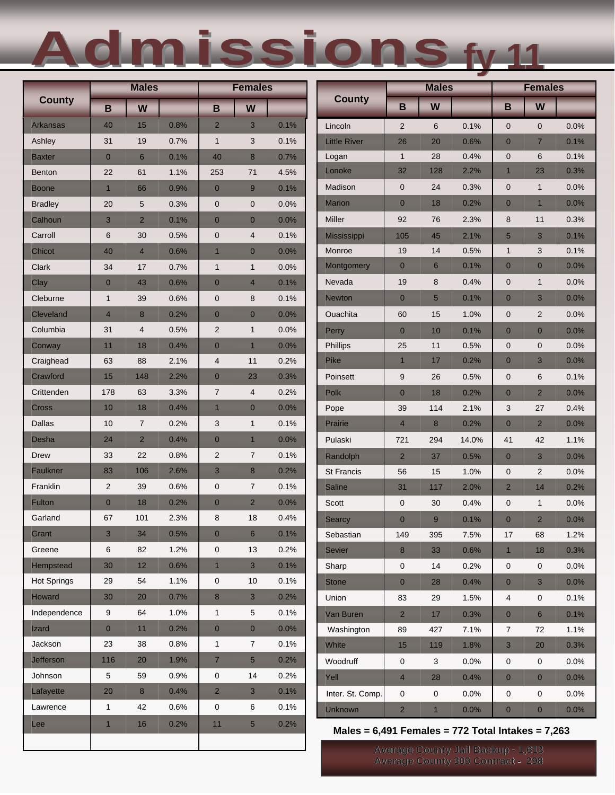# Admissions Admissions**fy 11**

|                    | <b>Males</b>   |                         | <b>Females</b> |                |                  |      | <b>Males</b>                                        |                  |                | <b>Females</b> |                  |                |      |
|--------------------|----------------|-------------------------|----------------|----------------|------------------|------|-----------------------------------------------------|------------------|----------------|----------------|------------------|----------------|------|
| <b>County</b>      | B              | W                       |                | B              | W                |      | <b>County</b>                                       | B                | W              |                | B                | W              |      |
| <b>Arkansas</b>    | 40             | 15                      | 0.8%           | $\overline{2}$ | 3                | 0.1% | Lincoln                                             | $\overline{2}$   | 6              | 0.1%           | $\mathbf 0$      | $\mathbf 0$    | 0.0% |
| Ashley             | 31             | 19                      | 0.7%           | $\mathbf{1}$   | 3                | 0.1% | <b>Little River</b>                                 | 26               | 20             | 0.6%           | $\overline{0}$   | $\overline{7}$ | 0.1% |
| Baxter             | $\mathbf{0}$   | 6                       | 0.1%           | 40             | $\boldsymbol{8}$ | 0.7% | Logan                                               | $\mathbf{1}$     | 28             | 0.4%           | $\mathbf 0$      | 6              | 0.1% |
| <b>Benton</b>      | 22             | 61                      | 1.1%           | 253            | 71               | 4.5% | Lonoke                                              | 32               | 128            | 2.2%           | $\mathbf{1}$     | 23             | 0.3% |
| Boone              | $\mathbf{1}$   | 66                      | 0.9%           | $\mathbf{0}$   | 9                | 0.1% | Madison                                             | $\pmb{0}$        | 24             | 0.3%           | $\mathbf 0$      | $\mathbf{1}$   | 0.0% |
| <b>Bradley</b>     | 20             | $5\,$                   | 0.3%           | $\mathbf 0$    | $\pmb{0}$        | 0.0% | <b>Marion</b>                                       | $\pmb{0}$        | 18             | 0.2%           | $\overline{0}$   | $\mathbf{1}$   | 0.0% |
| Calhoun            | 3              | $\overline{2}$          | 0.1%           | $\mathbf{0}$   | $\mathbf{0}$     | 0.0% | Miller                                              | 92               | 76             | 2.3%           | 8                | 11             | 0.3% |
| Carroll            | $\,6$          | 30                      | 0.5%           | $\mathbf 0$    | 4                | 0.1% | Mississippi                                         | 105              | 45             | 2.1%           | 5                | 3              | 0.1% |
| Chicot             | 40             | $\overline{4}$          | 0.6%           | $\mathbf{1}$   | $\mathbf{0}$     | 0.0% | Monroe                                              | 19               | 14             | 0.5%           | $\mathbf{1}$     | 3              | 0.1% |
| Clark              | 34             | 17                      | 0.7%           | $\mathbf{1}$   | $\mathbf{1}$     | 0.0% | Montgomery                                          | $\pmb{0}$        | $6\phantom{1}$ | 0.1%           | $\mathbf 0$      | $\mathbf{0}$   | 0.0% |
| Clay               | $\mathbf{0}$   | 43                      | 0.6%           | $\mathbf{0}$   | $\overline{4}$   | 0.1% | Nevada                                              | 19               | 8              | 0.4%           | $\mathbf 0$      | $\mathbf{1}$   | 0.0% |
| Cleburne           | $\mathbf{1}$   | 39                      | 0.6%           | $\mathbf 0$    | 8                | 0.1% | Newton                                              | $\mathbf{0}$     | 5              | 0.1%           | $\overline{0}$   | 3              | 0.0% |
| <b>Cleveland</b>   | $\overline{4}$ | 8                       | 0.2%           | $\mathbf 0$    | $\mathbf{0}$     | 0.0% | Ouachita                                            | 60               | 15             | 1.0%           | 0                | 2              | 0.0% |
| Columbia           | 31             | $\overline{\mathbf{4}}$ | 0.5%           | $\overline{2}$ | $\mathbf{1}$     | 0.0% | Perry                                               | $\overline{0}$   | 10             | 0.1%           | $\overline{0}$   | $\mathbf{0}$   | 0.0% |
| Conway             | 11             | 18                      | 0.4%           | $\mathbf{0}$   | $\mathbf{1}$     | 0.0% | Phillips                                            | 25               | 11             | 0.5%           | $\mathbf 0$      | $\pmb{0}$      | 0.0% |
| Craighead          | 63             | 88                      | 2.1%           | $\overline{4}$ | 11               | 0.2% | Pike                                                | $\overline{1}$   | 17             | 0.2%           | $\mathbf 0$      | 3              | 0.0% |
| Crawford           | 15             | 148                     | 2.2%           | $\mathbf{0}$   | 23               | 0.3% | Poinsett                                            | $\boldsymbol{9}$ | 26             | 0.5%           | $\boldsymbol{0}$ | $\,6$          | 0.1% |
| Crittenden         | 178            | 63                      | 3.3%           | $\overline{7}$ | 4                | 0.2% | Polk                                                | $\bf{0}$         | 18             | 0.2%           | $\bf{0}$         | $\overline{2}$ | 0.0% |
| <b>Cross</b>       | 10             | 18                      | 0.4%           | $\mathbf{1}$   | $\mathbf{0}$     | 0.0% | Pope                                                | 39               | 114            | 2.1%           | 3                | 27             | 0.4% |
| Dallas             | 10             | $\overline{7}$          | 0.2%           | 3              | $\mathbf{1}$     | 0.1% | Prairie                                             | $\overline{4}$   | $\bf{8}$       | 0.2%           | $\bf{0}$         | $\overline{2}$ | 0.0% |
| Desha              | 24             | $\overline{2}$          | 0.4%           | $\mathbf{0}$   | $\mathbf{1}$     | 0.0% | Pulaski                                             | 721              | 294            | 14.0%          | 41               | 42             | 1.1% |
| Drew               | 33             | 22                      | 0.8%           | $\overline{c}$ | $\overline{7}$   | 0.1% | Randolph                                            | $\overline{2}$   | 37             | 0.5%           | $\overline{0}$   | 3              | 0.0% |
| <b>Faulkner</b>    | 83             | 106                     | 2.6%           | $\mathbf{3}$   | 8                | 0.2% | St Francis                                          | 56               | 15             | 1.0%           | 0                | $\overline{c}$ | 0.0% |
| Franklin           | $\overline{2}$ | 39                      | 0.6%           | $\mathbf 0$    | $\overline{7}$   | 0.1% | Saline                                              | 31               | 117            | 2.0%           | $\overline{a}$   | 14             | 0.2% |
| Fulton             | $\mathbf{0}$   | 18                      | 0.2%           | $\mathbf{0}$   | $\overline{2}$   | 0.0% | Scott                                               | $\pmb{0}$        | 30             | 0.4%           | $\boldsymbol{0}$ | $\mathbf{1}$   | 0.0% |
| Garland            | 67             | 101                     | 2.3%           | 8              | 18               | 0.4% | <b>Searcy</b>                                       | $\bf{0}$         | 9              | 0.1%           | $\mathbf{0}$     | $\overline{2}$ | 0.0% |
| Grant              | 3              | 34                      | 0.5%           | $\mathbf{0}$   | $6\phantom{a}$   | 0.1% | Sebastian                                           | 149              | 395            | 7.5%           | 17               | 68             | 1.2% |
| Greene             | 6              | 82                      | 1.2%           | $\pmb{0}$      | 13               | 0.2% | Sevier                                              | $\bf 8$          | 33             | 0.6%           | $\mathbf{1}$     | 18             | 0.3% |
| <b>Hempstead</b>   | 30             | 12                      | 0.6%           | $\mathbf{1}$   | $\mathbf{3}$     | 0.1% | Sharp                                               | $\pmb{0}$        | 14             | 0.2%           | $\pmb{0}$        | $\pmb{0}$      | 0.0% |
| <b>Hot Springs</b> | 29             | 54                      | 1.1%           | $\pmb{0}$      | 10               | 0.1% | <b>Stone</b>                                        | $\pmb{0}$        | 28             | 0.4%           | $\mathbf 0$      | $\mathbf{3}$   | 0.0% |
| Howard             | 30             | 20                      | 0.7%           | $\bf 8$        | 3                | 0.2% | Union                                               | 83               | 29             | 1.5%           | 4                | 0              | 0.1% |
| Independence       | 9              | 64                      | 1.0%           | $\mathbf{1}$   | 5                | 0.1% | Van Buren                                           | $\overline{c}$   | 17             | 0.3%           | $\bf{0}$         | $6\phantom{1}$ | 0.1% |
| Izard              | $\pmb{0}$      | 11                      | 0.2%           | $\pmb{0}$      | $\pmb{0}$        | 0.0% | Washington                                          | 89               | 427            | 7.1%           | $\overline{7}$   | 72             | 1.1% |
| Jackson            | 23             | 38                      | 0.8%           | $\mathbf{1}$   | $\overline{7}$   | 0.1% | White                                               | 15               | 119            | 1.8%           | 3                | 20             | 0.3% |
| Jefferson          | 116            | 20                      | 1.9%           | $\overline{7}$ | $5\overline{)}$  | 0.2% | Woodruff                                            | $\pmb{0}$        | 3              | 0.0%           | 0                | $\pmb{0}$      | 0.0% |
| Johnson            | 5              | 59                      | 0.9%           | $\pmb{0}$      | 14               | 0.2% | Yell                                                | $\overline{4}$   | 28             | 0.4%           | $\overline{0}$   | $\mathbf{0}$   | 0.0% |
| Lafayette          | 20             | $\bf{8}$                | 0.4%           | $\overline{2}$ | $\sqrt{3}$       | 0.1% | Inter. St. Comp.                                    | $\pmb{0}$        | 0              | 0.0%           | 0                | 0              | 0.0% |
| Lawrence           | $\mathbf{1}$   | 42                      | 0.6%           | $\pmb{0}$      | 6                | 0.1% | <b>Unknown</b>                                      | $\overline{2}$   | $\overline{1}$ | 0.0%           | $\mathbf 0$      | $\pmb{0}$      | 0.0% |
| Lee                | $\mathbf{1}$   | 16                      | 0.2%           | 11             | 5 <sup>5</sup>   | 0.2% | Males = $6,491$ Females = 772 Total Intakes = 7,263 |                  |                |                |                  |                |      |
|                    |                |                         |                |                |                  |      |                                                     |                  |                |                |                  |                |      |

**Average County Jail Backup -** 1,613 Average County 309 Contract - 298